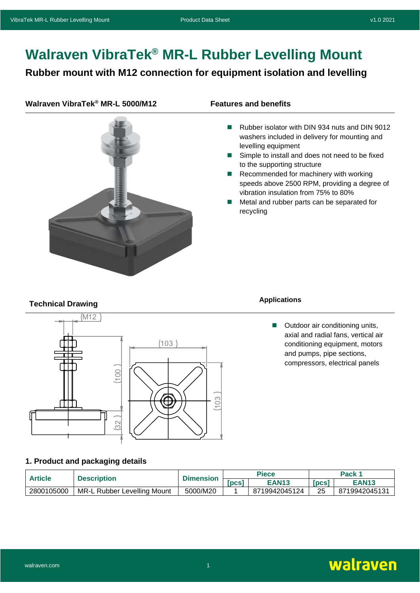# **Walraven VibraTek® MR-L Rubber Levelling Mount**

### **Rubber mount with M12 connection for equipment isolation and levelling**

#### **Walraven VibraTek® MR-L 5000/M12 Features and benefits**



- Rubber isolator with DIN 934 nuts and DIN 9012 washers included in delivery for mounting and levelling equipment
- Simple to install and does not need to be fixed to the supporting structure
- Recommended for machinery with working speeds above 2500 RPM, providing a degree of vibration insulation from 75% to 80%
- Metal and rubber parts can be separated for recycling

## **Technical Drawing Applications**



■ Outdoor air conditioning units, axial and radial fans, vertical air conditioning equipment, motors and pumps, pipe sections, compressors, electrical panels

### **1. Product and packaging details**

| <b>Article</b> | Description                      | <b>Dimension</b> |      | <b>Piece</b>  | Pack 1 |               |
|----------------|----------------------------------|------------------|------|---------------|--------|---------------|
|                |                                  |                  | pcsi | <b>EAN13</b>  | [pcs]  | <b>EAN13</b>  |
| 2800105000     | MR-L<br>. Rubber Levelling Mount | 5000/M20         |      | 8719942045124 | 25     | 8719942045131 |